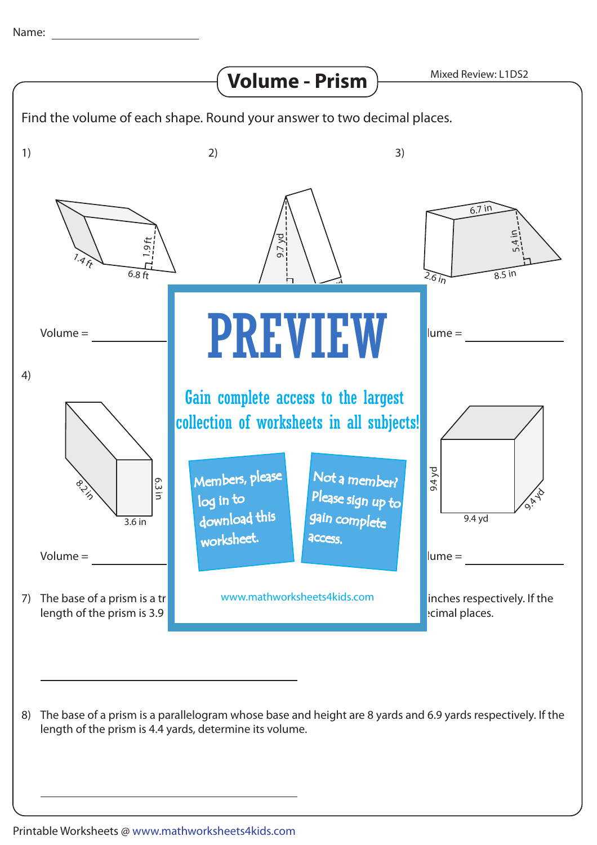